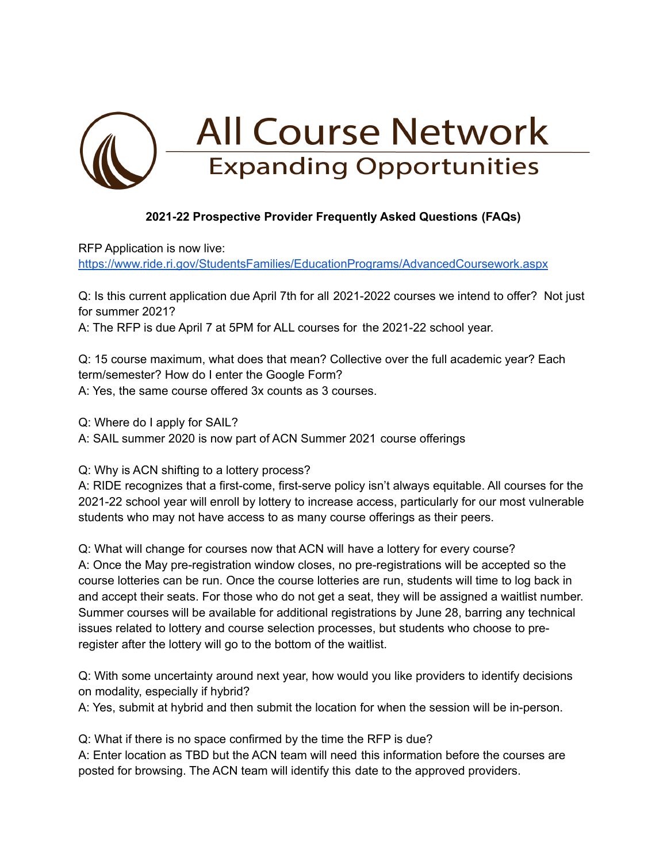

## **2021-22 Prospective Provider Frequently Asked Questions (FAQs)**

RFP Application is now live:

<https://www.ride.ri.gov/StudentsFamilies/EducationPrograms/AdvancedCoursework.aspx>

Q: Is this current application due April 7th for all 2021-2022 courses we intend to offer? Not just for summer 2021?

A: The RFP is due April 7 at 5PM for ALL courses for the 2021-22 school year.

Q: 15 course maximum, what does that mean? Collective over the full academic year? Each term/semester? How do I enter the Google Form? A: Yes, the same course offered 3x counts as 3 courses.

Q: Where do I apply for SAIL?

A: SAIL summer 2020 is now part of ACN Summer 2021 course offerings

Q: Why is ACN shifting to a lottery process?

A: RIDE recognizes that a first-come, first-serve policy isn't always equitable. All courses for the 2021-22 school year will enroll by lottery to increase access, particularly for our most vulnerable students who may not have access to as many course offerings as their peers.

Q: What will change for courses now that ACN will have a lottery for every course? A: Once the May pre-registration window closes, no pre-registrations will be accepted so the course lotteries can be run. Once the course lotteries are run, students will time to log back in and accept their seats. For those who do not get a seat, they will be assigned a waitlist number. Summer courses will be available for additional registrations by June 28, barring any technical issues related to lottery and course selection processes, but students who choose to preregister after the lottery will go to the bottom of the waitlist.

Q: With some uncertainty around next year, how would you like providers to identify decisions on modality, especially if hybrid?

A: Yes, submit at hybrid and then submit the location for when the session will be in-person.

Q: What if there is no space confirmed by the time the RFP is due?

A: Enter location as TBD but the ACN team will need this information before the courses are posted for browsing. The ACN team will identify this date to the approved providers.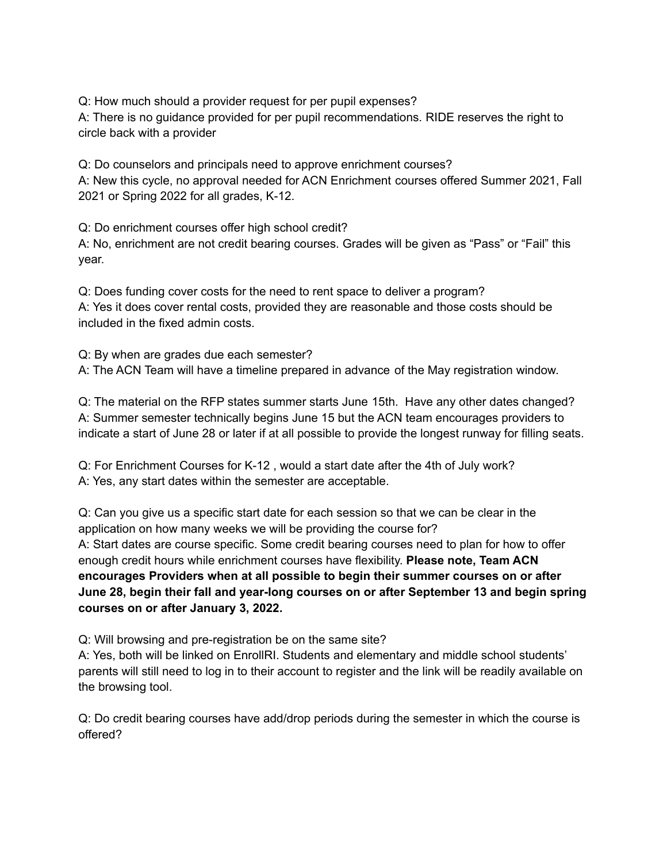Q: How much should a provider request for per pupil expenses?

A: There is no guidance provided for per pupil recommendations. RIDE reserves the right to circle back with a provider

Q: Do counselors and principals need to approve enrichment courses? A: New this cycle, no approval needed for ACN Enrichment courses offered Summer 2021, Fall 2021 or Spring 2022 for all grades, K-12.

Q: Do enrichment courses offer high school credit?

A: No, enrichment are not credit bearing courses. Grades will be given as "Pass" or "Fail" this year.

Q: Does funding cover costs for the need to rent space to deliver a program? A: Yes it does cover rental costs, provided they are reasonable and those costs should be included in the fixed admin costs.

Q: By when are grades due each semester? A: The ACN Team will have a timeline prepared in advance of the May registration window.

Q: The material on the RFP states summer starts June 15th. Have any other dates changed? A: Summer semester technically begins June 15 but the ACN team encourages providers to indicate a start of June 28 or later if at all possible to provide the longest runway for filling seats.

Q: For Enrichment Courses for K-12 , would a start date after the 4th of July work? A: Yes, any start dates within the semester are acceptable.

Q: Can you give us a specific start date for each session so that we can be clear in the application on how many weeks we will be providing the course for? A: Start dates are course specific. Some credit bearing courses need to plan for how to offer enough credit hours while enrichment courses have flexibility. **Please note, Team ACN encourages Providers when at all possible to begin their summer courses on or after June 28, begin their fall and year-long courses on or after September 13 and begin spring courses on or after January 3, 2022.**

Q: Will browsing and pre-registration be on the same site?

A: Yes, both will be linked on EnrollRI. Students and elementary and middle school students' parents will still need to log in to their account to register and the link will be readily available on the browsing tool.

Q: Do credit bearing courses have add/drop periods during the semester in which the course is offered?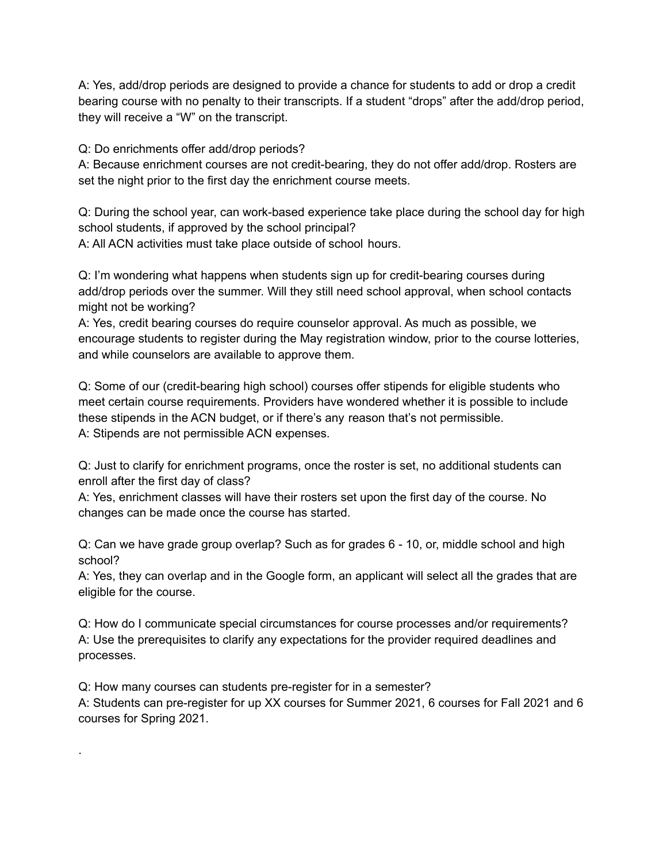A: Yes, add/drop periods are designed to provide a chance for students to add or drop a credit bearing course with no penalty to their transcripts. If a student "drops" after the add/drop period, they will receive a "W" on the transcript.

Q: Do enrichments offer add/drop periods?

A: Because enrichment courses are not credit-bearing, they do not offer add/drop. Rosters are set the night prior to the first day the enrichment course meets.

Q: During the school year, can work-based experience take place during the school day for high school students, if approved by the school principal?

A: All ACN activities must take place outside of school hours.

Q: I'm wondering what happens when students sign up for credit-bearing courses during add/drop periods over the summer. Will they still need school approval, when school contacts might not be working?

A: Yes, credit bearing courses do require counselor approval. As much as possible, we encourage students to register during the May registration window, prior to the course lotteries, and while counselors are available to approve them.

Q: Some of our (credit-bearing high school) courses offer stipends for eligible students who meet certain course requirements. Providers have wondered whether it is possible to include these stipends in the ACN budget, or if there's any reason that's not permissible. A: Stipends are not permissible ACN expenses.

Q: Just to clarify for enrichment programs, once the roster is set, no additional students can enroll after the first day of class?

A: Yes, enrichment classes will have their rosters set upon the first day of the course. No changes can be made once the course has started.

Q: Can we have grade group overlap? Such as for grades 6 - 10, or, middle school and high school?

A: Yes, they can overlap and in the Google form, an applicant will select all the grades that are eligible for the course.

Q: How do I communicate special circumstances for course processes and/or requirements? A: Use the prerequisites to clarify any expectations for the provider required deadlines and processes.

Q: How many courses can students pre-register for in a semester?

.

A: Students can pre-register for up XX courses for Summer 2021, 6 courses for Fall 2021 and 6 courses for Spring 2021.